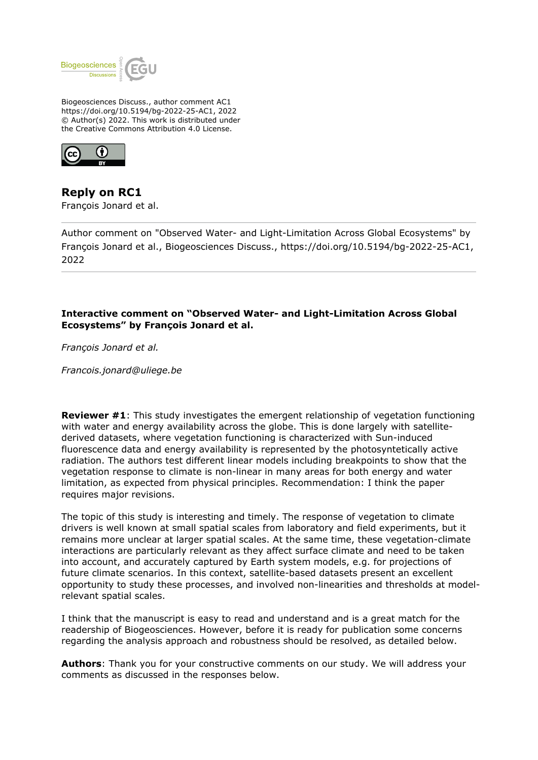

Biogeosciences Discuss., author comment AC1 https://doi.org/10.5194/bg-2022-25-AC1, 2022 © Author(s) 2022. This work is distributed under the Creative Commons Attribution 4.0 License.



**Reply on RC1** François Jonard et al.

Author comment on "Observed Water- and Light-Limitation Across Global Ecosystems" by François Jonard et al., Biogeosciences Discuss., https://doi.org/10.5194/bg-2022-25-AC1, 2022

## **Interactive comment on "Observed Water- and Light-Limitation Across Global Ecosystems" by François Jonard et al.**

*François Jonard et al.* 

*Francois.jonard@uliege.be*

**Reviewer #1**: This study investigates the emergent relationship of vegetation functioning with water and energy availability across the globe. This is done largely with satellitederived datasets, where vegetation functioning is characterized with Sun-induced fluorescence data and energy availability is represented by the photosyntetically active radiation. The authors test different linear models including breakpoints to show that the vegetation response to climate is non-linear in many areas for both energy and water limitation, as expected from physical principles. Recommendation: I think the paper requires major revisions.

The topic of this study is interesting and timely. The response of vegetation to climate drivers is well known at small spatial scales from laboratory and field experiments, but it remains more unclear at larger spatial scales. At the same time, these vegetation-climate interactions are particularly relevant as they affect surface climate and need to be taken into account, and accurately captured by Earth system models, e.g. for projections of future climate scenarios. In this context, satellite-based datasets present an excellent opportunity to study these processes, and involved non-linearities and thresholds at modelrelevant spatial scales.

I think that the manuscript is easy to read and understand and is a great match for the readership of Biogeosciences. However, before it is ready for publication some concerns regarding the analysis approach and robustness should be resolved, as detailed below.

**Authors**: Thank you for your constructive comments on our study. We will address your comments as discussed in the responses below.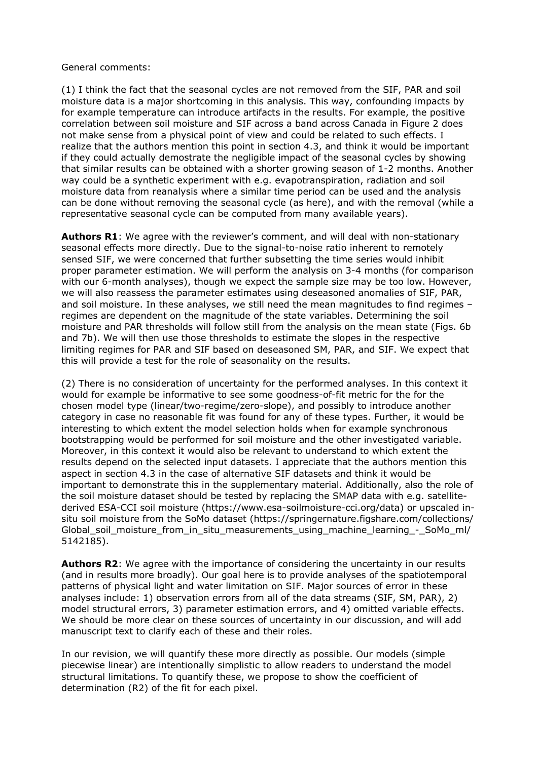## General comments:

(1) I think the fact that the seasonal cycles are not removed from the SIF, PAR and soil moisture data is a major shortcoming in this analysis. This way, confounding impacts by for example temperature can introduce artifacts in the results. For example, the positive correlation between soil moisture and SIF across a band across Canada in Figure 2 does not make sense from a physical point of view and could be related to such effects. I realize that the authors mention this point in section 4.3, and think it would be important if they could actually demostrate the negligible impact of the seasonal cycles by showing that similar results can be obtained with a shorter growing season of 1-2 months. Another way could be a synthetic experiment with e.g. evapotranspiration, radiation and soil moisture data from reanalysis where a similar time period can be used and the analysis can be done without removing the seasonal cycle (as here), and with the removal (while a representative seasonal cycle can be computed from many available years).

**Authors R1**: We agree with the reviewer's comment, and will deal with non-stationary seasonal effects more directly. Due to the signal-to-noise ratio inherent to remotely sensed SIF, we were concerned that further subsetting the time series would inhibit proper parameter estimation. We will perform the analysis on 3-4 months (for comparison with our 6-month analyses), though we expect the sample size may be too low. However, we will also reassess the parameter estimates using deseasoned anomalies of SIF, PAR, and soil moisture. In these analyses, we still need the mean magnitudes to find regimes – regimes are dependent on the magnitude of the state variables. Determining the soil moisture and PAR thresholds will follow still from the analysis on the mean state (Figs. 6b and 7b). We will then use those thresholds to estimate the slopes in the respective limiting regimes for PAR and SIF based on deseasoned SM, PAR, and SIF. We expect that this will provide a test for the role of seasonality on the results.

(2) There is no consideration of uncertainty for the performed analyses. In this context it would for example be informative to see some goodness-of-fit metric for the for the chosen model type (linear/two-regime/zero-slope), and possibly to introduce another category in case no reasonable fit was found for any of these types. Further, it would be interesting to which extent the model selection holds when for example synchronous bootstrapping would be performed for soil moisture and the other investigated variable. Moreover, in this context it would also be relevant to understand to which extent the results depend on the selected input datasets. I appreciate that the authors mention this aspect in section 4.3 in the case of alternative SIF datasets and think it would be important to demonstrate this in the supplementary material. Additionally, also the role of the soil moisture dataset should be tested by replacing the SMAP data with e.g. satellitederived ESA-CCI soil moisture (https://www.esa-soilmoisture-cci.org/data) or upscaled insitu soil moisture from the SoMo dataset (https://springernature.figshare.com/collections/ Global soil moisture from in situ measurements using machine learning - SoMo ml/ 5142185).

**Authors R2**: We agree with the importance of considering the uncertainty in our results (and in results more broadly). Our goal here is to provide analyses of the spatiotemporal patterns of physical light and water limitation on SIF. Major sources of error in these analyses include: 1) observation errors from all of the data streams (SIF, SM, PAR), 2) model structural errors, 3) parameter estimation errors, and 4) omitted variable effects. We should be more clear on these sources of uncertainty in our discussion, and will add manuscript text to clarify each of these and their roles.

In our revision, we will quantify these more directly as possible. Our models (simple piecewise linear) are intentionally simplistic to allow readers to understand the model structural limitations. To quantify these, we propose to show the coefficient of determination (R2) of the fit for each pixel.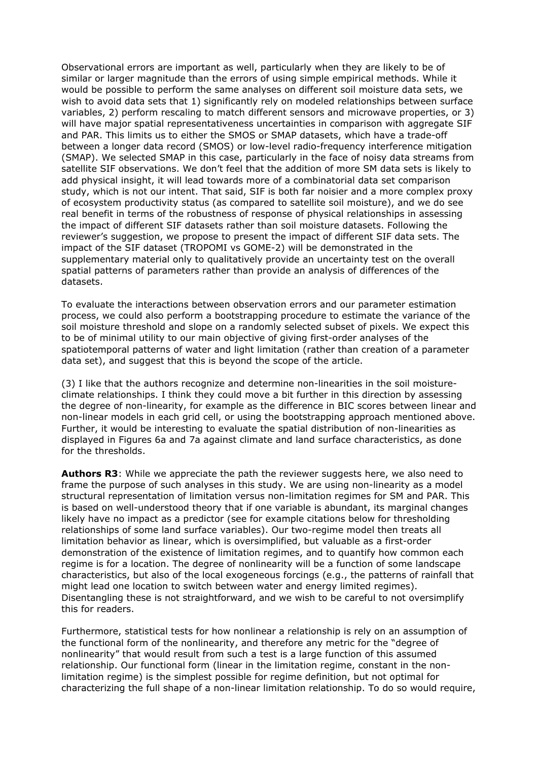Observational errors are important as well, particularly when they are likely to be of similar or larger magnitude than the errors of using simple empirical methods. While it would be possible to perform the same analyses on different soil moisture data sets, we wish to avoid data sets that 1) significantly rely on modeled relationships between surface variables, 2) perform rescaling to match different sensors and microwave properties, or 3) will have major spatial representativeness uncertainties in comparison with aggregate SIF and PAR. This limits us to either the SMOS or SMAP datasets, which have a trade-off between a longer data record (SMOS) or low-level radio-frequency interference mitigation (SMAP). We selected SMAP in this case, particularly in the face of noisy data streams from satellite SIF observations. We don't feel that the addition of more SM data sets is likely to add physical insight, it will lead towards more of a combinatorial data set comparison study, which is not our intent. That said, SIF is both far noisier and a more complex proxy of ecosystem productivity status (as compared to satellite soil moisture), and we do see real benefit in terms of the robustness of response of physical relationships in assessing the impact of different SIF datasets rather than soil moisture datasets. Following the reviewer's suggestion, we propose to present the impact of different SIF data sets. The impact of the SIF dataset (TROPOMI vs GOME-2) will be demonstrated in the supplementary material only to qualitatively provide an uncertainty test on the overall spatial patterns of parameters rather than provide an analysis of differences of the datasets.

To evaluate the interactions between observation errors and our parameter estimation process, we could also perform a bootstrapping procedure to estimate the variance of the soil moisture threshold and slope on a randomly selected subset of pixels. We expect this to be of minimal utility to our main objective of giving first-order analyses of the spatiotemporal patterns of water and light limitation (rather than creation of a parameter data set), and suggest that this is beyond the scope of the article.

(3) I like that the authors recognize and determine non-linearities in the soil moistureclimate relationships. I think they could move a bit further in this direction by assessing the degree of non-linearity, for example as the difference in BIC scores between linear and non-linear models in each grid cell, or using the bootstrapping approach mentioned above. Further, it would be interesting to evaluate the spatial distribution of non-linearities as displayed in Figures 6a and 7a against climate and land surface characteristics, as done for the thresholds.

**Authors R3**: While we appreciate the path the reviewer suggests here, we also need to frame the purpose of such analyses in this study. We are using non-linearity as a model structural representation of limitation versus non-limitation regimes for SM and PAR. This is based on well-understood theory that if one variable is abundant, its marginal changes likely have no impact as a predictor (see for example citations below for thresholding relationships of some land surface variables). Our two-regime model then treats all limitation behavior as linear, which is oversimplified, but valuable as a first-order demonstration of the existence of limitation regimes, and to quantify how common each regime is for a location. The degree of nonlinearity will be a function of some landscape characteristics, but also of the local exogeneous forcings (e.g., the patterns of rainfall that might lead one location to switch between water and energy limited regimes). Disentangling these is not straightforward, and we wish to be careful to not oversimplify this for readers.

Furthermore, statistical tests for how nonlinear a relationship is rely on an assumption of the functional form of the nonlinearity, and therefore any metric for the "degree of nonlinearity" that would result from such a test is a large function of this assumed relationship. Our functional form (linear in the limitation regime, constant in the nonlimitation regime) is the simplest possible for regime definition, but not optimal for characterizing the full shape of a non-linear limitation relationship. To do so would require,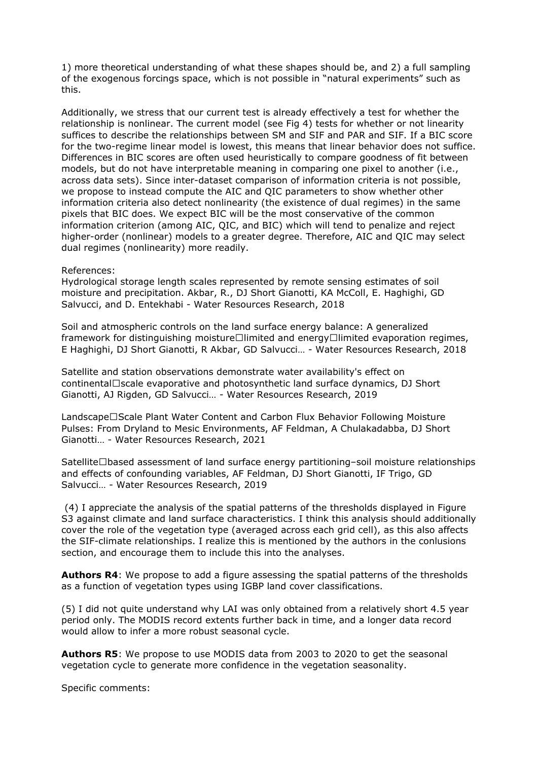1) more theoretical understanding of what these shapes should be, and 2) a full sampling of the exogenous forcings space, which is not possible in "natural experiments" such as this.

Additionally, we stress that our current test is already effectively a test for whether the relationship is nonlinear. The current model (see Fig 4) tests for whether or not linearity suffices to describe the relationships between SM and SIF and PAR and SIF. If a BIC score for the two-regime linear model is lowest, this means that linear behavior does not suffice. Differences in BIC scores are often used heuristically to compare goodness of fit between models, but do not have interpretable meaning in comparing one pixel to another (i.e., across data sets). Since inter-dataset comparison of information criteria is not possible, we propose to instead compute the AIC and QIC parameters to show whether other information criteria also detect nonlinearity (the existence of dual regimes) in the same pixels that BIC does. We expect BIC will be the most conservative of the common information criterion (among AIC, QIC, and BIC) which will tend to penalize and reject higher-order (nonlinear) models to a greater degree. Therefore, AIC and QIC may select dual regimes (nonlinearity) more readily.

## References:

Hydrological storage length scales represented by remote sensing estimates of soil moisture and precipitation. Akbar, R., DJ Short Gianotti, KA McColl, E. Haghighi, GD Salvucci, and D. Entekhabi - Water Resources Research, 2018

Soil and atmospheric controls on the land surface energy balance: A generalized framework for distinguishing moisture $\square$ limited and energy $\square$ limited evaporation regimes, E Haghighi, DJ Short Gianotti, R Akbar, GD Salvucci… - Water Resources Research, 2018

Satellite and station observations demonstrate water availability's effect on continental□scale evaporative and photosynthetic land surface dynamics, DJ Short Gianotti, AJ Rigden, GD Salvucci… - Water Resources Research, 2019

Landscape□Scale Plant Water Content and Carbon Flux Behavior Following Moisture Pulses: From Dryland to Mesic Environments, AF Feldman, A Chulakadabba, DJ Short Gianotti… - Water Resources Research, 2021

Satellite□based assessment of land surface energy partitioning-soil moisture relationships and effects of confounding variables, AF Feldman, DJ Short Gianotti, IF Trigo, GD Salvucci… - Water Resources Research, 2019

 (4) I appreciate the analysis of the spatial patterns of the thresholds displayed in Figure S3 against climate and land surface characteristics. I think this analysis should additionally cover the role of the vegetation type (averaged across each grid cell), as this also affects the SIF-climate relationships. I realize this is mentioned by the authors in the conlusions section, and encourage them to include this into the analyses.

**Authors R4**: We propose to add a figure assessing the spatial patterns of the thresholds as a function of vegetation types using IGBP land cover classifications.

(5) I did not quite understand why LAI was only obtained from a relatively short 4.5 year period only. The MODIS record extents further back in time, and a longer data record would allow to infer a more robust seasonal cycle.

**Authors R5**: We propose to use MODIS data from 2003 to 2020 to get the seasonal vegetation cycle to generate more confidence in the vegetation seasonality.

Specific comments: